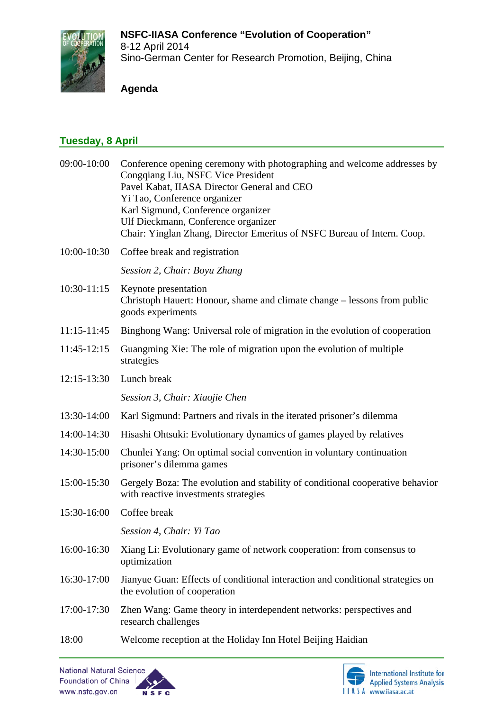

Sino-German Center for Research Promotion, Beijing, China

### **Agenda**

# **Tuesday, 8 April**

| Conference opening ceremony with photographing and welcome addresses by<br>Congqiang Liu, NSFC Vice President<br>Pavel Kabat, IIASA Director General and CEO<br>Yi Tao, Conference organizer<br>Karl Sigmund, Conference organizer<br>Ulf Dieckmann, Conference organizer<br>Chair: Yinglan Zhang, Director Emeritus of NSFC Bureau of Intern. Coop. |
|------------------------------------------------------------------------------------------------------------------------------------------------------------------------------------------------------------------------------------------------------------------------------------------------------------------------------------------------------|
| Coffee break and registration                                                                                                                                                                                                                                                                                                                        |
| Session 2, Chair: Boyu Zhang                                                                                                                                                                                                                                                                                                                         |
| Keynote presentation<br>Christoph Hauert: Honour, shame and climate change – lessons from public<br>goods experiments                                                                                                                                                                                                                                |
| Binghong Wang: Universal role of migration in the evolution of cooperation                                                                                                                                                                                                                                                                           |
| Guangming Xie: The role of migration upon the evolution of multiple<br>strategies                                                                                                                                                                                                                                                                    |
| Lunch break                                                                                                                                                                                                                                                                                                                                          |
| Session 3, Chair: Xiaojie Chen                                                                                                                                                                                                                                                                                                                       |
| Karl Sigmund: Partners and rivals in the iterated prisoner's dilemma                                                                                                                                                                                                                                                                                 |
| Hisashi Ohtsuki: Evolutionary dynamics of games played by relatives                                                                                                                                                                                                                                                                                  |
| Chunlei Yang: On optimal social convention in voluntary continuation<br>prisoner's dilemma games                                                                                                                                                                                                                                                     |
| Gergely Boza: The evolution and stability of conditional cooperative behavior<br>with reactive investments strategies                                                                                                                                                                                                                                |
| Coffee break                                                                                                                                                                                                                                                                                                                                         |
| Session 4, Chair: Yi Tao                                                                                                                                                                                                                                                                                                                             |
| Xiang Li: Evolutionary game of network cooperation: from consensus to<br>optimization                                                                                                                                                                                                                                                                |
| Jianyue Guan: Effects of conditional interaction and conditional strategies on<br>the evolution of cooperation                                                                                                                                                                                                                                       |
| Zhen Wang: Game theory in interdependent networks: perspectives and<br>research challenges                                                                                                                                                                                                                                                           |
| Welcome reception at the Holiday Inn Hotel Beijing Haidian                                                                                                                                                                                                                                                                                           |
|                                                                                                                                                                                                                                                                                                                                                      |



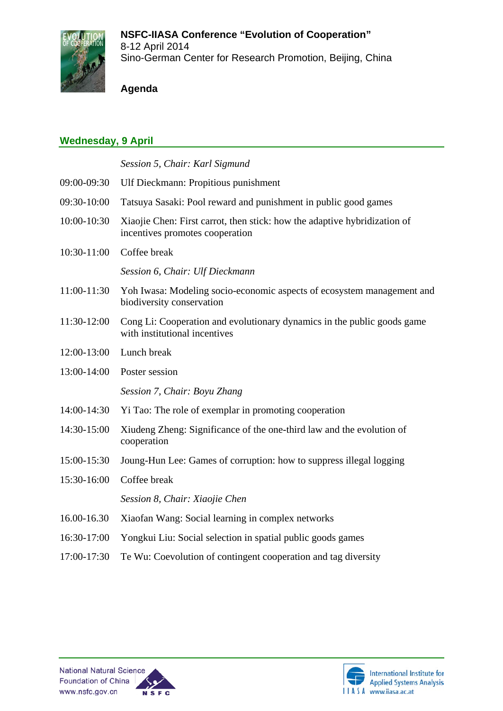

Sino-German Center for Research Promotion, Beijing, China

#### **Agenda**

## **Wednesday, 9 April**

*Session 5, Chair: Karl Sigmund*

- 09:00-09:30 Ulf Dieckmann: Propitious punishment
- 09:30-10:00 Tatsuya Sasaki: Pool reward and punishment in public good games
- 10:00-10:30 Xiaojie Chen: First carrot, then stick: how the adaptive hybridization of incentives promotes cooperation
- 10:30-11:00 Coffee break

*Session 6, Chair: Ulf Dieckmann*

- 11:00-11:30 Yoh Iwasa: Modeling socio-economic aspects of ecosystem management and biodiversity conservation
- 11:30-12:00 Cong Li: Cooperation and evolutionary dynamics in the public goods game with institutional incentives
- 12:00-13:00 Lunch break
- 13:00-14:00 Poster session *Session 7, Chair: Boyu Zhang*
- 14:00-14:30 Yi Tao: The role of exemplar in promoting cooperation
- 14:30-15:00 Xiudeng Zheng: Significance of the one-third law and the evolution of cooperation
- 15:00-15:30 Joung-Hun Lee: Games of corruption: how to suppress illegal logging
- 15:30-16:00 Coffee break

*Session 8, Chair: Xiaojie Chen*

- 16.00-16.30 Xiaofan Wang: Social learning in complex networks
- 16:30-17:00 Yongkui Liu: Social selection in spatial public goods games
- 17:00-17:30 Te Wu: Coevolution of contingent cooperation and tag diversity





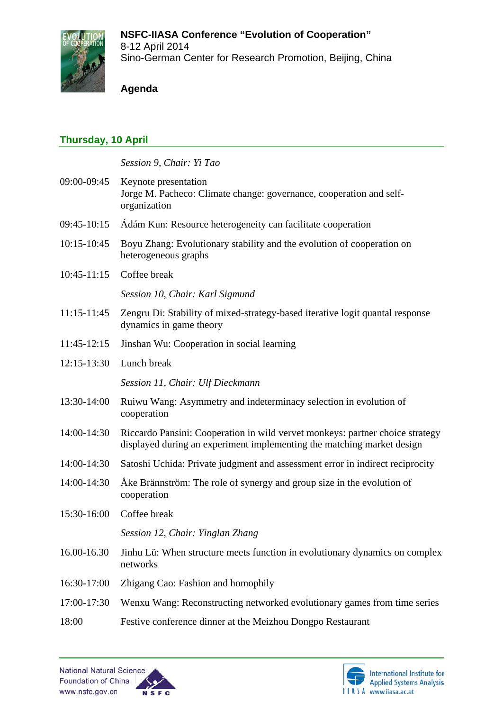# **NSFC-IIASA Conference "Evolution of Cooperation"**



8-12 April 2014 Sino-German Center for Research Promotion, Beijing, China

#### **Agenda**

## **Thursday, 10 April**

*Session 9, Chair: Yi Tao*

| 09:00-09:45 Keynote presentation<br>Jorge M. Pacheco: Climate change: governance, cooperation and self-<br>organization |
|-------------------------------------------------------------------------------------------------------------------------|
|                                                                                                                         |

- 09:45-10:15 Ádám Kun: Resource heterogeneity can facilitate cooperation
- 10:15-10:45 Boyu Zhang: Evolutionary stability and the evolution of cooperation on heterogeneous graphs
- 10:45-11:15 Coffee break

*Session 10, Chair: Karl Sigmund*

- 11:15-11:45 Zengru Di: Stability of mixed-strategy-based iterative logit quantal response dynamics in game theory
- 11:45-12:15 Jinshan Wu: Cooperation in social learning
- 12:15-13:30 Lunch break

*Session 11, Chair: Ulf Dieckmann*

- 13:30-14:00 Ruiwu Wang: Asymmetry and indeterminacy selection in evolution of cooperation
- 14:00-14:30 Riccardo Pansini: Cooperation in wild vervet monkeys: partner choice strategy displayed during an experiment implementing the matching market design
- 14:00-14:30 Satoshi Uchida: Private judgment and assessment error in indirect reciprocity
- 14:00-14:30 Åke Brännström: The role of synergy and group size in the evolution of cooperation
- 15:30-16:00 Coffee break

*Session 12, Chair: Yinglan Zhang*

- 16.00-16.30 Jinhu Lü: When structure meets function in evolutionary dynamics on complex networks
- 16:30-17:00 Zhigang Cao: Fashion and homophily
- 17:00-17:30 Wenxu Wang: Reconstructing networked evolutionary games from time series
- 18:00 Festive conference dinner at the Meizhou Dongpo Restaurant